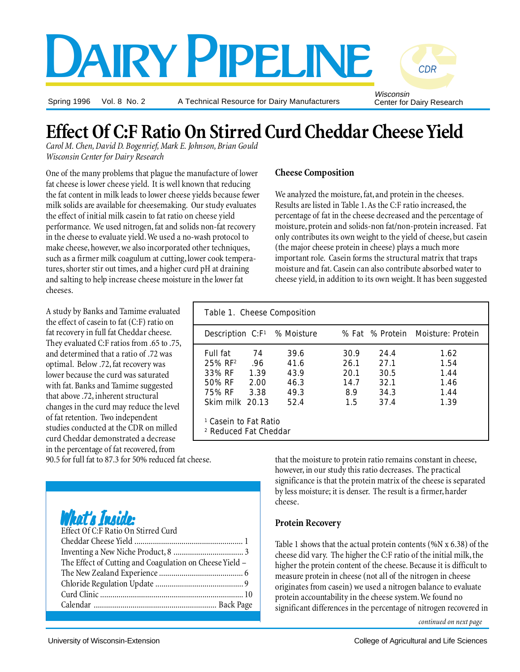# DAIRY PIPELINE

Spring 1996 Vol. 8 No. 2

A Technical Resource for Dairy Manufacturers

Wisconsin Center for Dairy Research

*CDR*

## **Effect Of C:F Ratio On Stirred Curd Cheddar Cheese Yield**

*Carol M. Chen, David D. Bogenrief, Mark E. Johnson, Brian Gould Wisconsin Center for Dairy Research*

One of the many problems that plague the manufacture of lower fat cheese is lower cheese yield. It is well known that reducing the fat content in milk leads to lower cheese yields because fewer milk solids are available for cheesemaking. Our study evaluates the effect of initial milk casein to fat ratio on cheese yield performance. We used nitrogen, fat and solids non-fat recovery in the cheese to evaluate yield. We used a no-wash protocol to make cheese, however, we also incorporated other techniques, such as a firmer milk coagulum at cutting, lower cook temperatures, shorter stir out times, and a higher curd pH at draining and salting to help increase cheese moisture in the lower fat cheeses.

A study by Banks and Tamime evaluated the effect of casein to fat (C:F) ratio on fat recovery in full fat Cheddar cheese. They evaluated C:F ratios from .65 to .75, and determined that a ratio of .72 was optimal. Below .72, fat recovery was lower because the curd was saturated with fat. Banks and Tamime suggested that above .72, inherent structural changes in the curd may reduce the level of fat retention. Two independent studies conducted at the CDR on milled curd Cheddar demonstrated a decrease in the percentage of fat recovered, from

90.5 for full fat to 87.3 for 50% reduced fat cheese.

What's Inside:

| Effect Of C:F Ratio On Stirred Curd                     |  |
|---------------------------------------------------------|--|
|                                                         |  |
|                                                         |  |
| The Effect of Cutting and Coagulation on Cheese Yield - |  |
|                                                         |  |
|                                                         |  |
|                                                         |  |
|                                                         |  |
|                                                         |  |

#### **Cheese Composition**

We analyzed the moisture, fat, and protein in the cheeses. Results are listed in Table 1. As the C:F ratio increased, the percentage of fat in the cheese decreased and the percentage of moisture, protein and solids-non fat/non-protein increased. Fat only contributes its own weight to the yield of cheese, but casein (the major cheese protein in cheese) plays a much more important role. Casein forms the structural matrix that traps moisture and fat. Casein can also contribute absorbed water to cheese yield, in addition to its own weight. It has been suggested

| Table 1. Cheese Composition                                          |      |                                      |      |      |                                   |  |  |  |
|----------------------------------------------------------------------|------|--------------------------------------|------|------|-----------------------------------|--|--|--|
|                                                                      |      | Description $C: F^1 \sim M$ Moisture |      |      | % Fat % Protein Moisture: Protein |  |  |  |
| Full fat                                                             | 74   | 39.6                                 | 30.9 | 24.4 | 1.62                              |  |  |  |
| $25%$ RF <sup>2</sup>                                                | .96. | 41.6                                 | 26.1 | 27.1 | 1.54                              |  |  |  |
| 33% RF                                                               | 1.39 | 43.9                                 | 20.1 | 30.5 | 1.44                              |  |  |  |
| 50% RF                                                               | 2.00 | 46.3                                 | 14.7 | 32.1 | 1.46                              |  |  |  |
| 75% RF                                                               | 3.38 | 49.3                                 | 8.9  | 34.3 | 1.44                              |  |  |  |
| Skim milk 20.13                                                      |      | 52.4                                 | 1.5  | 37.4 | 1.39                              |  |  |  |
| <sup>1</sup> Casein to Fat Ratio<br><sup>2</sup> Reduced Fat Cheddar |      |                                      |      |      |                                   |  |  |  |

that the moisture to protein ratio remains constant in cheese, however, in our study this ratio decreases. The practical significance is that the protein matrix of the cheese is separated by less moisture; it is denser. The result is a firmer, harder cheese.

#### **Protein Recovery**

Table 1 shows that the actual protein contents (%N x 6.38) of the cheese did vary. The higher the C:F ratio of the initial milk, the higher the protein content of the cheese. Because it is difficult to measure protein in cheese (not all of the nitrogen in cheese originates from casein) we used a nitrogen balance to evaluate protein accountability in the cheese system. We found no significant differences in the percentage of nitrogen recovered in

*continued on next page*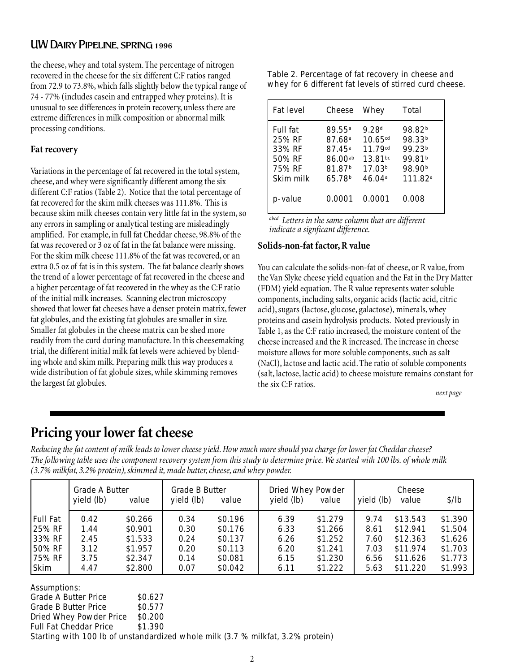#### UW Dairy Pipeline, spring 1996

the cheese, whey and total system. The percentage of nitrogen recovered in the cheese for the six different C:F ratios ranged from 72.9 to 73.8%, which falls slightly below the typical range of 74 - 77% (includes casein and entrapped whey proteins). It is unusual to see differences in protein recovery, unless there are extreme differences in milk composition or abnormal milk processing conditions.

#### **Fat recovery**

Variations in the percentage of fat recovered in the total system, cheese, and whey were significantly different among the six different C:F ratios (Table 2). Notice that the total percentage of fat recovered for the skim milk cheeses was 111.8%. This is because skim milk cheeses contain very little fat in the system, so any errors in sampling or analytical testing are misleadingly amplified. For example, in full fat Cheddar cheese, 98.8% of the fat was recovered or 3 oz of fat in the fat balance were missing. For the skim milk cheese 111.8% of the fat was recovered, or an extra 0.5 oz of fat is in this system. The fat balance clearly shows the trend of a lower percentage of fat recovered in the cheese and a higher percentage of fat recovered in the whey as the C:F ratio of the initial milk increases. Scanning electron microscopy showed that lower fat cheeses have a denser protein matrix, fewer fat globules, and the existing fat globules are smaller in size. Smaller fat globules in the cheese matrix can be shed more readily from the curd during manufacture. In this cheesemaking trial, the different initial milk fat levels were achieved by blending whole and skim milk. Preparing milk this way produces a wide distribution of fat globule sizes, while skimming removes the largest fat globules.

| Table 2. Percentage of fat recovery in cheese and       |  |
|---------------------------------------------------------|--|
| whey for 6 different fat levels of stirred curd cheese. |  |

| Fat level                                                            | Cheese                                                                                                                         | Whey                                                                                    | Total                                                                                                                             |
|----------------------------------------------------------------------|--------------------------------------------------------------------------------------------------------------------------------|-----------------------------------------------------------------------------------------|-----------------------------------------------------------------------------------------------------------------------------------|
| <b>Full fat</b><br>25% RF<br>33% RF<br>50% RF<br>75% RF<br>Skim milk | 89.55 <sup>a</sup><br>87.68 <sup>a</sup><br>$87.45^{\rm a}$<br>86.00 <sup>ab</sup><br>81.87 <sup>b</sup><br>65.78 <sup>b</sup> | 9.28 <sup>d</sup><br>10.65cd<br>11.79cd<br>$13.81^{bc}$<br>17.03 <sup>b</sup><br>46.04a | 98.82 <sup>b</sup><br>98.33 <sup>b</sup><br>99.23 <sup>b</sup><br>99.81 <sup>b</sup><br>98.90 <sup>b</sup><br>111.82 <sup>a</sup> |
| p-value                                                              | 0.0001                                                                                                                         | 0.0001                                                                                  | 0.008                                                                                                                             |

*abcd Letters in the same column that are different indicate a signficant difference.*

#### **Solids-non-fat factor, R value**

You can calculate the solids-non-fat of cheese, or R value, from the Van Slyke cheese yield equation and the Fat in the Dry Matter (FDM) yield equation. The R value represents water soluble components, including salts, organic acids (lactic acid, citric acid), sugars (lactose, glucose, galactose), minerals, whey proteins and casein hydrolysis products. Noted previously in Table 1, as the C:F ratio increased, the moisture content of the cheese increased and the R increased. The increase in cheese moisture allows for more soluble components, such as salt (NaCl), lactose and lactic acid. The ratio of soluble components (salt, lactose, lactic acid) to cheese moisture remains constant for the six C:F ratios.

*next page*

### **Pricing your lower fat cheese**

*Reducing the fat content of milk leads to lower cheese yield. How much more should you charge for lower fat Cheddar cheese? The following table uses the component recovery system from this study to determine price. We started with 100 lbs. of whole milk (3.7% milkfat, 3.2% protein), skimmed it, made butter, cheese, and whey powder.*

|                 | <b>Grade A Butter</b><br>yield (lb) | value   | <b>Grade B Butter</b><br>yield (lb) | value              | Dried Whey Powder<br>yield (lb) | value   | yield (lb) | Cheese<br>value | \$/lb   |
|-----------------|-------------------------------------|---------|-------------------------------------|--------------------|---------------------------------|---------|------------|-----------------|---------|
| <b>Full Fat</b> | 0.42                                | \$0.266 | 0.34                                | \$0.196            | 6.39                            | \$1.279 | 9.74       | \$13.543        | \$1.390 |
| 25% RF          | 1.44                                | \$0.901 | 0.30                                | \$0.176            | 6.33                            | \$1.266 | 8.61       | \$12.941        | \$1.504 |
| 33% RF          | 2.45                                | \$1.533 | 0.24                                | \$0.137            | 6.26                            | \$1.252 | 7.60       | \$12.363        | \$1.626 |
| $150\%$ RF      | 3.12                                | \$1.957 | 0.20                                | S <sub>0.113</sub> | 6.20                            | \$1.241 | 7.03       | \$11.974        | \$1.703 |
| $175\%$ RF      | 3.75                                | \$2.347 | 0.14                                | \$0.081            | 6.15                            | \$1.230 | 6.56       | \$11.626        | \$1.773 |
| Skim            | 4.47                                | \$2.800 | 0.07                                | \$0.042            | 6.11                            | \$1.222 | 5.63       | \$11.220        | \$1.993 |

| Assumptions:                                                                    |           |  |  |  |  |  |
|---------------------------------------------------------------------------------|-----------|--|--|--|--|--|
| <b>Grade A Butter Price</b>                                                     | \$0.627   |  |  |  |  |  |
| <b>Grade B Butter Price</b>                                                     | \$0.577   |  |  |  |  |  |
| Dried Whey Powder Price                                                         | \$0.200   |  |  |  |  |  |
| <b>Full Fat Cheddar Price</b>                                                   | - S 1.390 |  |  |  |  |  |
| Starting with 100 lb of unstandardized whole milk (3.7 % milkfat, 3.2% protein) |           |  |  |  |  |  |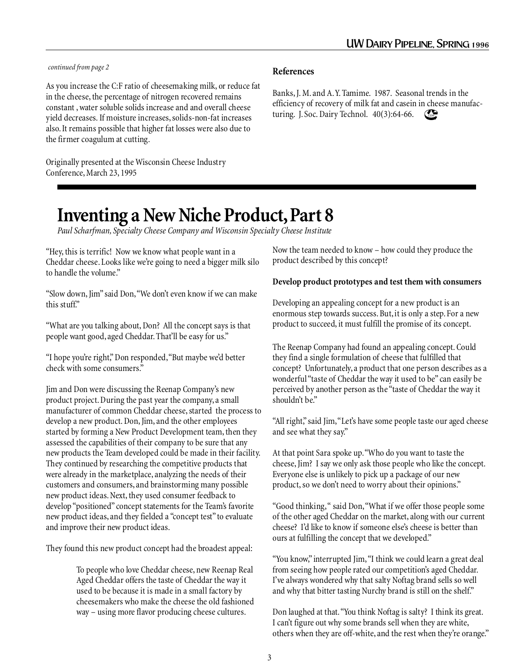#### *continued from page 2* **References**

As you increase the C:F ratio of cheesemaking milk, or reduce fat in the cheese, the percentage of nitrogen recovered remains constant , water soluble solids increase and and overall cheese yield decreases. If moisture increases, solids-non-fat increases also. It remains possible that higher fat losses were also due to the firmer coagulum at cutting.

Originally presented at the Wisconsin Cheese Industry Conference, March 23, 1995

CDR Banks, J. M. and A. Y. Tamime. 1987. Seasonal trends in the efficiency of recovery of milk fat and casein in cheese manufacturing. J. Soc. Dairy Technol. 40(3):64-66.

## **Inventing a New Niche Product, Part 8**

*Paul Scharfman, Specialty Cheese Company and Wisconsin Specialty Cheese Institute*

"Hey, this is terrific! Now we know what people want in a Cheddar cheese. Looks like we're going to need a bigger milk silo to handle the volume."

"Slow down, Jim" said Don, "We don't even know if we can make this stuff."

"What are you talking about, Don? All the concept says is that people want good, aged Cheddar. That'll be easy for us."

"I hope you're right," Don responded, "But maybe we'd better check with some consumers."

Jim and Don were discussing the Reenap Company's new product project. During the past year the company, a small manufacturer of common Cheddar cheese, started the process to develop a new product. Don, Jim, and the other employees started by forming a New Product Development team, then they assessed the capabilities of their company to be sure that any new products the Team developed could be made in their facility. They continued by researching the competitive products that were already in the marketplace, analyzing the needs of their customers and consumers, and brainstorming many possible new product ideas. Next, they used consumer feedback to develop "positioned" concept statements for the Team's favorite new product ideas, and they fielded a "concept test" to evaluate and improve their new product ideas.

They found this new product concept had the broadest appeal:

To people who love Cheddar cheese, new Reenap Real Aged Cheddar offers the taste of Cheddar the way it used to be because it is made in a small factory by cheesemakers who make the cheese the old fashioned way – using more flavor producing cheese cultures.

Now the team needed to know – how could they produce the product described by this concept?

#### **Develop product prototypes and test them with consumers**

Developing an appealing concept for a new product is an enormous step towards success. But, it is only a step. For a new product to succeed, it must fulfill the promise of its concept.

The Reenap Company had found an appealing concept. Could they find a single formulation of cheese that fulfilled that concept? Unfortunately, a product that one person describes as a wonderful "taste of Cheddar the way it used to be" can easily be perceived by another person as the "taste of Cheddar the way it shouldn't be."

"All right," said Jim, "Let's have some people taste our aged cheese and see what they say."

At that point Sara spoke up. "Who do you want to taste the cheese, Jim? I say we only ask those people who like the concept. Everyone else is unlikely to pick up a package of our new product, so we don't need to worry about their opinions."

"Good thinking, " said Don, "What if we offer those people some of the other aged Cheddar on the market, along with our current cheese? I'd like to know if someone else's cheese is better than ours at fulfilling the concept that we developed."

"You know," interrupted Jim, "I think we could learn a great deal from seeing how people rated our competition's aged Cheddar. I've always wondered why that salty Noftag brand sells so well and why that bitter tasting Nurchy brand is still on the shelf."

Don laughed at that. "You think Noftag is salty? I think its great. I can't figure out why some brands sell when they are white, others when they are off-white, and the rest when they're orange."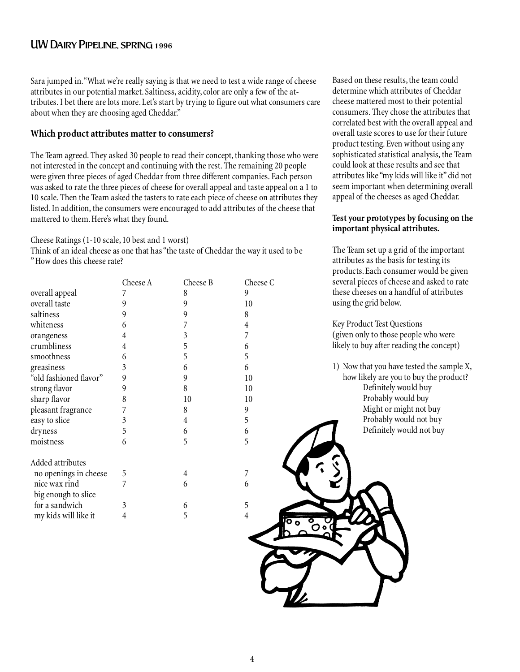#### UW Dairy Pipeline, spring 1996

Sara jumped in. "What we're really saying is that we need to test a wide range of cheese attributes in our potential market. Saltiness, acidity, color are only a few of the attributes. I bet there are lots more. Let's start by trying to figure out what consumers care about when they are choosing aged Cheddar."

#### **Which product attributes matter to consumers?**

The Team agreed. They asked 30 people to read their concept, thanking those who were not interested in the concept and continuing with the rest. The remaining 20 people were given three pieces of aged Cheddar from three different companies. Each person was asked to rate the three pieces of cheese for overall appeal and taste appeal on a 1 to 10 scale. Then the Team asked the tasters to rate each piece of cheese on attributes they listed. In addition, the consumers were encouraged to add attributes of the cheese that mattered to them. Here's what they found.

Cheese Ratings (1-10 scale, 10 best and 1 worst)

Think of an ideal cheese as one that has "the taste of Cheddar the way it used to be " How does this cheese rate?

|                        | Cheese A | Cheese B       | Cheese C |
|------------------------|----------|----------------|----------|
| overall appeal         | 7        | 8              | 9        |
| overall taste          | 9        | 9              | 10       |
| saltiness              | 9        | 9              | 8        |
| whiteness              | 6        | 7              | 4        |
| orangeness             | 4        | $\mathfrak{Z}$ | 7        |
| crumbliness            | 4        | 5              | 6        |
| smoothness             | 6        | 5              | 5        |
| greasiness             | 3        | 6              | 6        |
| "old fashioned flavor" | 9        | 9              | 10       |
| strong flavor          | 9        | 8              | 10       |
| sharp flavor           | 8        | 10             | 10       |
| pleasant fragrance     | 7        | 8              | 9        |
| easy to slice          | 3        | 4              | 5        |
| dryness                | 5        | 6              | 6        |
| moistness              | 6        | 5              | 5        |
| Added attributes       |          |                |          |
| no openings in cheese  | 5        | 4              | 7        |
| nice wax rind          | 7        | 6              | 6        |
| big enough to slice    |          |                |          |
| for a sandwich         | 3        | 6              | 5        |
| my kids will like it   | 4        | 5              | 4        |

Based on these results, the team could determine which attributes of Cheddar cheese mattered most to their potential consumers. They chose the attributes that correlated best with the overall appeal and overall taste scores to use for their future product testing. Even without using any sophisticated statistical analysis, the Team could look at these results and see that attributes like "my kids will like it" did not seem important when determining overall appeal of the cheeses as aged Cheddar.

#### **Test your prototypes by focusing on the important physical attributes.**

The Team set up a grid of the important attributes as the basis for testing its products. Each consumer would be given several pieces of cheese and asked to rate these cheeses on a handful of attributes using the grid below.

Key Product Test Questions (given only to those people who were likely to buy after reading the concept)

1) Now that you have tested the sample X, how likely are you to buy the product? Definitely would buy Probably would buy Might or might not buy Probably would not buy Definitely would not buy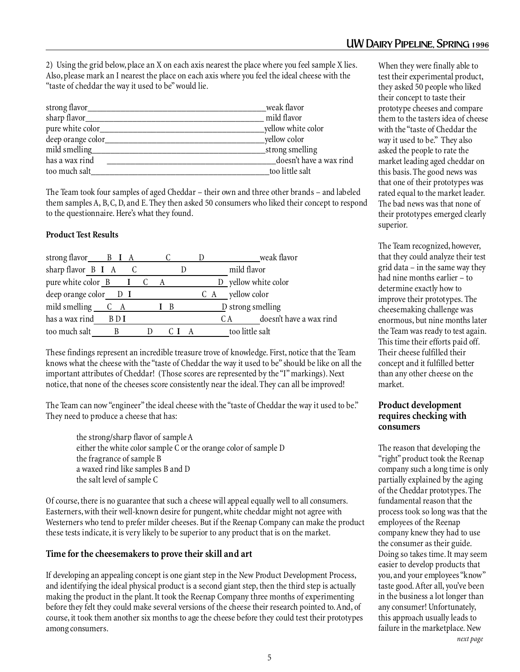2) Using the grid below, place an X on each axis nearest the place where you feel sample X lies. Also, please mark an I nearest the place on each axis where you feel the ideal cheese with the "taste of cheddar the way it used to be" would lie.

| strong flavor_    | weak flavor             |
|-------------------|-------------------------|
| sharp flavor_     | mild flavor             |
| pure white color_ | yellow white color      |
| deep orange color | yellow color            |
| mild smelling     | strong smelling         |
| has a wax rind    | doesn't have a wax rind |
| too much salt     | too little salt         |

The Team took four samples of aged Cheddar – their own and three other brands – and labeled them samples A, B, C, D, and E. They then asked 50 consumers who liked their concept to respond to the questionnaire. Here's what they found.

#### **Product Test Results**

| strong flavor $B I A$ $C$                                          |     |  |             |     |     | weak flavor                    |
|--------------------------------------------------------------------|-----|--|-------------|-----|-----|--------------------------------|
| sharp flavor B I A                                                 |     |  |             |     |     | mild flavor                    |
| pure white color $\underline{B}$ $\underline{I}$ $\underline{C}$ A |     |  |             |     |     | D yellow white color           |
| deep orange color $\sqrt{D}$ I                                     |     |  |             |     | C A | yellow color                   |
| mild smelling C A                                                  |     |  | $I \quad B$ |     |     | $\n  D strong smelling\n$      |
| has a wax rind                                                     | BDI |  |             |     |     | doesn't have a wax rind<br>C A |
| too much salt                                                      |     |  |             | CIA |     | too little salt                |

These findings represent an incredible treasure trove of knowledge. First, notice that the Team knows what the cheese with the "taste of Cheddar the way it used to be" should be like on all the important attributes of Cheddar! (Those scores are represented by the "I" markings). Next notice, that none of the cheeses score consistently near the ideal. They can all be improved!

The Team can now "engineer" the ideal cheese with the "taste of Cheddar the way it used to be." They need to produce a cheese that has:

the strong/sharp flavor of sample A either the white color sample C or the orange color of sample D the fragrance of sample B a waxed rind like samples B and D the salt level of sample C

Of course, there is no guarantee that such a cheese will appeal equally well to all consumers. Easterners, with their well-known desire for pungent, white cheddar might not agree with Westerners who tend to prefer milder cheeses. But if the Reenap Company can make the product these tests indicate, it is very likely to be superior to any product that is on the market.

#### **Time for the cheesemakers to prove their skill and art**

If developing an appealing concept is one giant step in the New Product Development Process, and identifying the ideal physical product is a second giant step, then the third step is actually making the product in the plant. It took the Reenap Company three months of experimenting before they felt they could make several versions of the cheese their research pointed to. And, of course, it took them another six months to age the cheese before they could test their prototypes among consumers.

When they were finally able to test their experimental product, they asked 50 people who liked their concept to taste their prototype cheeses and compare them to the tasters idea of cheese with the "taste of Cheddar the way it used to be." They also asked the people to rate the market leading aged cheddar on this basis. The good news was that one of their prototypes was rated equal to the market leader. The bad news was that none of their prototypes emerged clearly superior.

The Team recognized, however, that they could analyze their test grid data – in the same way they had nine months earlier – to determine exactly how to improve their prototypes. The cheesemaking challenge was enormous, but nine months later the Team was ready to test again. This time their efforts paid off. Their cheese fulfilled their concept and it fulfilled better than any other cheese on the market.

#### **Product development requires checking with consumers**

The reason that developing the "right" product took the Reenap company such a long time is only partially explained by the aging of the Cheddar prototypes. The fundamental reason that the process took so long was that the employees of the Reenap company knew they had to use the consumer as their guide. Doing so takes time. It may seem easier to develop products that you, and your employees "know" taste good. After all, you've been in the business a lot longer than any consumer! Unfortunately, this approach usually leads to failure in the marketplace. New  *next page*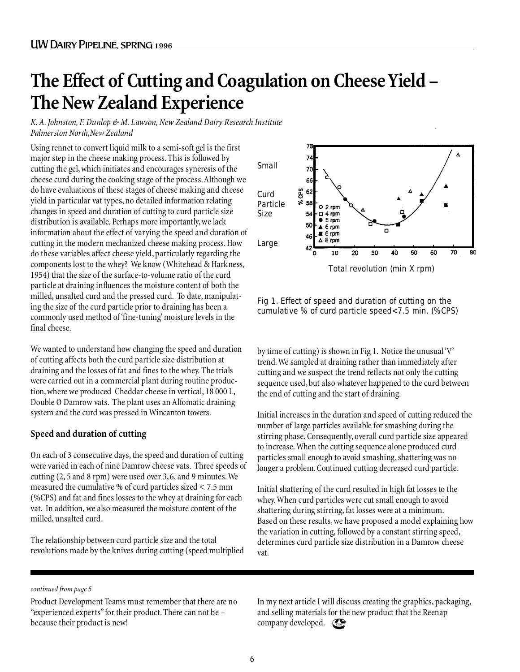## **The Effect of Cutting and Coagulation on Cheese Yield – The New Zealand Experience**

*K. A. Johnston, F. Dunlop & M. Lawson, New Zealand Dairy Research Institute Palmerston North,New Zealand*

Using rennet to convert liquid milk to a semi-soft gel is the first major step in the cheese making process. This is followed by cutting the gel, which initiates and encourages syneresis of the cheese curd during the cooking stage of the process. Although we do have evaluations of these stages of cheese making and cheese yield in particular vat types, no detailed information relating changes in speed and duration of cutting to curd particle size distribution is available. Perhaps more importantly, we lack information about the effect of varying the speed and duration of cutting in the modern mechanized cheese making process. How do these variables affect cheese yield, particularly regarding the components lost to the whey? We know (Whitehead & Harkness, 1954) that the size of the surface-to-volume ratio of the curd particle at draining influences the moisture content of both the milled, unsalted curd and the pressed curd. To date, manipulating the size of the curd particle prior to draining has been a commonly used method of 'fine-tuning' moisture levels in the final cheese.

We wanted to understand how changing the speed and duration of cutting affects both the curd particle size distribution at draining and the losses of fat and fines to the whey. The trials were carried out in a commercial plant during routine production, where we produced Cheddar cheese in vertical, 18 000 L, Double O Damrow vats. The plant uses an Alfomatic draining system and the curd was pressed in Wincanton towers.

#### **Speed and duration of cutting**

On each of 3 consecutive days, the speed and duration of cutting were varied in each of nine Damrow cheese vats. Three speeds of cutting (2, 5 and 8 rpm) were used over 3, 6, and 9 minutes. We measured the cumulative % of curd particles sized < 7.5 mm (%CPS) and fat and fines losses to the whey at draining for each vat. In addition, we also measured the moisture content of the milled, unsalted curd.

The relationship between curd particle size and the total revolutions made by the knives during cutting (speed multiplied



Fig 1. Effect of speed and duration of cutting on the cumulative % of curd particle speed<7.5 min. (%CPS)

by time of cutting) is shown in Fig 1. Notice the unusual 'V' trend. We sampled at draining rather than immediately after cutting and we suspect the trend reflects not only the cutting sequence used, but also whatever happened to the curd between the end of cutting and the start of draining.

Initial increases in the duration and speed of cutting reduced the number of large particles available for smashing during the stirring phase. Consequently, overall curd particle size appeared to increase. When the cutting sequence alone produced curd particles small enough to avoid smashing, shattering was no longer a problem. Continued cutting decreased curd particle.

Initial shattering of the curd resulted in high fat losses to the whey. When curd particles were cut small enough to avoid shattering during stirring, fat losses were at a minimum. Based on these results, we have proposed a model explaining how the variation in cutting, followed by a constant stirring speed, determines curd particle size distribution in a Damrow cheese vat.

#### *continued from page 5*

Product Development Teams must remember that there are no "experienced experts" for their product. There can not be – because their product is new!

In my next article I will discuss creating the graphics, packaging, and selling materials for the new product that the Reenap company developed.  $\mathbb{C}$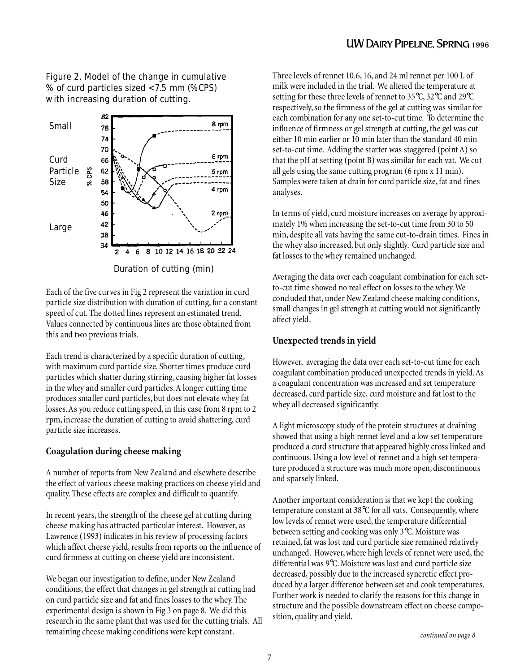Figure 2. Model of the change in cumulative % of curd particles sized <7.5 mm (%CPS) with increasing duration of cutting.



Duration of cutting (min)

Each of the five curves in Fig 2 represent the variation in curd particle size distribution with duration of cutting, for a constant speed of cut. The dotted lines represent an estimated trend. Values connected by continuous lines are those obtained from this and two previous trials.

Each trend is characterized by a specific duration of cutting, with maximum curd particle size. Shorter times produce curd particles which shatter during stirring, causing higher fat losses in the whey and smaller curd particles. A longer cutting time produces smaller curd particles, but does not elevate whey fat losses. As you reduce cutting speed, in this case from 8 rpm to 2 rpm, increase the duration of cutting to avoid shattering, curd particle size increases.

#### **Coagulation during cheese making**

A number of reports from New Zealand and elsewhere describe the effect of various cheese making practices on cheese yield and quality. These effects are complex and difficult to quantify.

In recent years, the strength of the cheese gel at cutting during cheese making has attracted particular interest. However, as Lawrence (1993) indicates in his review of processing factors which affect cheese yield, results from reports on the influence of curd firmness at cutting on cheese yield are inconsistent.

We began our investigation to define, under New Zealand conditions, the effect that changes in gel strength at cutting had on curd particle size and fat and fines losses to the whey. The experimental design is shown in Fig 3 on page 8. We did this research in the same plant that was used for the cutting trials. All remaining cheese making conditions were kept constant.

Three levels of rennet 10.6, 16, and 24 ml rennet per 100 L of milk were included in the trial. We altered the temperature at setting for these three levels of rennet to 35°C, 32°C and 29°C respectively, so the firmness of the gel at cutting was similar for each combination for any one set-to-cut time. To determine the influence of firmness or gel strength at cutting, the gel was cut either 10 min earlier or 10 min later than the standard 40 min set-to-cut time. Adding the starter was staggered (point A) so that the pH at setting (point B) was similar for each vat. We cut all gels using the same cutting program (6 rpm x 11 min). Samples were taken at drain for curd particle size, fat and fines analyses.

In terms of yield, curd moisture increases on average by approximately 1% when increasing the set-to-cut time from 30 to 50 min, despite all vats having the same cut-to-drain times. Fines in the whey also increased, but only slightly. Curd particle size and fat losses to the whey remained unchanged.

Averaging the data over each coagulant combination for each setto-cut time showed no real effect on losses to the whey. We concluded that, under New Zealand cheese making conditions, small changes in gel strength at cutting would not significantly affect yield.

#### **Unexpected trends in yield**

However, averaging the data over each set-to-cut time for each coagulant combination produced unexpected trends in yield. As a coagulant concentration was increased and set temperature decreased, curd particle size, curd moisture and fat lost to the whey all decreased significantly.

A light microscopy study of the protein structures at draining showed that using a high rennet level and a low set temperature produced a curd structure that appeared highly cross linked and continuous. Using a low level of rennet and a high set temperature produced a structure was much more open, discontinuous and sparsely linked.

Another important consideration is that we kept the cooking temperature constant at 38°C for all vats. Consequently, where low levels of rennet were used, the temperature differential between setting and cooking was only 3°C. Moisture was retained, fat was lost and curd particle size remained relatively unchanged. However, where high levels of rennet were used, the differential was 9°C. Moisture was lost and curd particle size decreased, possibly due to the increased syneretic effect produced by a larger difference between set and cook temperatures. Further work is needed to clarify the reasons for this change in structure and the possible downstream effect on cheese composition, quality and yield.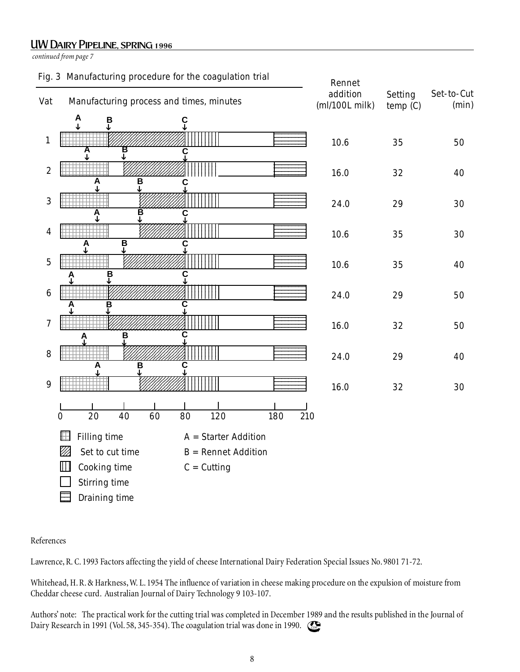#### UW Dairy Pipeline, spring 1996

*continued from page 7*



#### References

Lawrence, R. C. 1993 Factors affecting the yield of cheese International Dairy Federation Special Issues No. 9801 71-72.

Whitehead, H. R. & Harkness, W. L. 1954 The influence of variation in cheese making procedure on the expulsion of moisture from Cheddar cheese curd. Australian Journal of Dairy Technology 9 103-107.

Authors' note: The practical work for the cutting trial was completed in December 1989 and the results published in the Journal of Dairy Research in 1991 (Vol. 58, 345-354). The coagulation trial was done in 1990.  $\odot$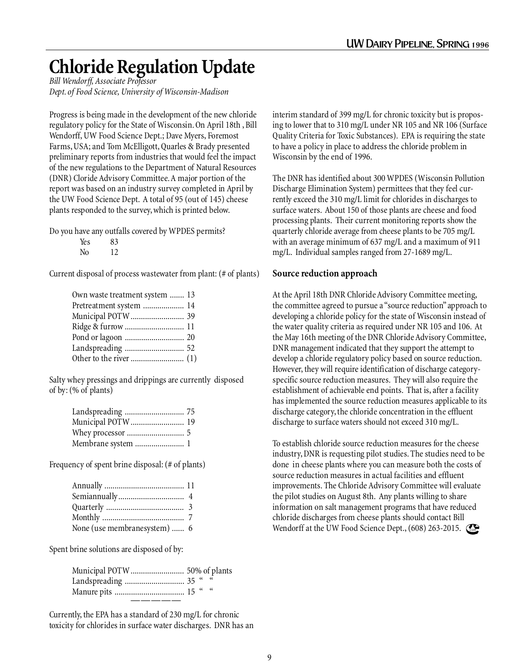## **Chloride Regulation Update**

*Bill Wendorff, Associate Professor Dept. of Food Science, University of Wisconsin-Madison*

Progress is being made in the development of the new chloride regulatory policy for the State of Wisconsin. On April 18th , Bill Wendorff, UW Food Science Dept.; Dave Myers, Foremost Farms, USA; and Tom McElligott, Quarles & Brady presented preliminary reports from industries that would feel the impact of the new regulations to the Department of Natural Resources (DNR) Cloride Advisory Committee. A major portion of the report was based on an industry survey completed in April by the UW Food Science Dept. A total of 95 (out of 145) cheese plants responded to the survey, which is printed below.

Do you have any outfalls covered by WPDES permits?

| Yes | 83 |
|-----|----|
|     |    |

No 12

Current disposal of process wastewater from plant: (# of plants)

| Own waste treatment system  13 |  |
|--------------------------------|--|
| Pretreatment system  14        |  |
| Municipal POTW  39             |  |
| Ridge & furrow  11             |  |
| Pond or lagoon  20             |  |
| Landspreading  52              |  |
|                                |  |

Salty whey pressings and drippings are currently disposed of by: (% of plants)

| Landspreading  75  |  |
|--------------------|--|
| Municipal POTW  19 |  |
|                    |  |
| Membrane system  1 |  |

Frequency of spent brine disposal: (# of plants)

| None (use membranesystem)  6 |  |
|------------------------------|--|

Spent brine solutions are disposed of by:

Currently, the EPA has a standard of 230 mg/L for chronic toxicity for chlorides in surface water discharges. DNR has an interim standard of 399 mg/L for chronic toxicity but is proposing to lower that to 310 mg/L under NR 105 and NR 106 (Surface Quality Criteria for Toxic Substances). EPA is requiring the state to have a policy in place to address the chloride problem in Wisconsin by the end of 1996.

The DNR has identified about 300 WPDES (Wisconsin Pollution Discharge Elimination System) permittees that they feel currently exceed the 310 mg/L limit for chlorides in discharges to surface waters. About 150 of those plants are cheese and food processing plants. Their current monitoring reports show the quarterly chloride average from cheese plants to be 705 mg/L with an average minimum of 637 mg/L and a maximum of 911 mg/L. Individual samples ranged from 27-1689 mg/L.

#### **Source reduction approach**

At the April 18th DNR Chloride Advisory Committee meeting, the committee agreed to pursue a "source reduction" approach to developing a chloride policy for the state of Wisconsin instead of the water quality criteria as required under NR 105 and 106. At the May 16th meeting of the DNR Chloride Advisory Committee, DNR management indicated that they support the attempt to develop a chloride regulatory policy based on source reduction. However, they will require identification of discharge categoryspecific source reduction measures. They will also require the establishment of achievable end points. That is, after a facility has implemented the source reduction measures applicable to its discharge category, the chloride concentration in the effluent discharge to surface waters should not exceed 310 mg/L.

To establish chloride source reduction measures for the cheese industry, DNR is requesting pilot studies. The studies need to be done in cheese plants where you can measure both the costs of source reduction measures in actual facilities and effluent improvements. The Chloride Advisory Committee will evaluate the pilot studies on August 8th. Any plants willing to share information on salt management programs that have reduced chloride discharges from cheese plants should contact Bill Wendorff at the UW Food Science Dept.,  $(608)$  263-2015.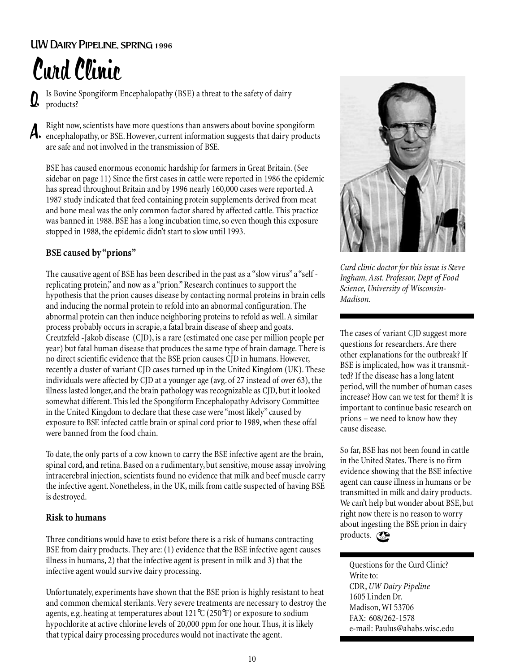## Curd Clinic

Is Bovine Spongiform Encephalopathy (BSE) a threat to the safety of dairy products? Q.

Right now, scientists have more questions than answers about bovine spongiform encephalopathy, or BSE. However, current information suggests that dairy products are safe and not involved in the transmission of BSE. A.

BSE has caused enormous economic hardship for farmers in Great Britain. (See sidebar on page 11) Since the first cases in cattle were reported in 1986 the epidemic has spread throughout Britain and by 1996 nearly 160,000 cases were reported. A 1987 study indicated that feed containing protein supplements derived from meat and bone meal was the only common factor shared by affected cattle. This practice was banned in 1988. BSE has a long incubation time, so even though this exposure stopped in 1988, the epidemic didn't start to slow until 1993.

#### **BSE caused by "prions"**

The causative agent of BSE has been described in the past as a "slow virus" a "self replicating protein," and now as a "prion." Research continues to support the hypothesis that the prion causes disease by contacting normal proteins in brain cells and inducing the normal protein to refold into an abnormal configuration. The abnormal protein can then induce neighboring proteins to refold as well. A similar process probably occurs in scrapie, a fatal brain disease of sheep and goats. Creutzfeld -Jakob disease (CJD), is a rare (estimated one case per million people per year) but fatal human disease that produces the same type of brain damage. There is no direct scientific evidence that the BSE prion causes CJD in humans. However, recently a cluster of variant CJD cases turned up in the United Kingdom (UK). These individuals were affected by CJD at a younger age (avg. of 27 instead of over 63), the illness lasted longer, and the brain pathology was recognizable as CJD, but it looked somewhat different. This led the Spongiform Encephalopathy Advisory Committee in the United Kingdom to declare that these case were "most likely" caused by exposure to BSE infected cattle brain or spinal cord prior to 1989, when these offal were banned from the food chain.

To date, the only parts of a cow known to carry the BSE infective agent are the brain, spinal cord, and retina. Based on a rudimentary, but sensitive, mouse assay involving intracerebral injection, scientists found no evidence that milk and beef muscle carry the infective agent. Nonetheless, in the UK, milk from cattle suspected of having BSE is destroyed.

#### **Risk to humans**

Three conditions would have to exist before there is a risk of humans contracting BSE from dairy products. They are: (1) evidence that the BSE infective agent causes illness in humans, 2) that the infective agent is present in milk and 3) that the infective agent would survive dairy processing.

Unfortunately, experiments have shown that the BSE prion is highly resistant to heat and common chemical sterilants. Very severe treatments are necessary to destroy the agents, e.g. heating at temperatures about 121°C (250°F) or exposure to sodium hypochlorite at active chlorine levels of 20,000 ppm for one hour. Thus, it is likely that typical dairy processing procedures would not inactivate the agent.



*Curd clinic doctor for this issue is Steve Ingham, Asst. Professor, Dept of Food Science, University of Wisconsin-Madison.*

The cases of variant CJD suggest more questions for researchers. Are there other explanations for the outbreak? If BSE is implicated, how was it transmitted? If the disease has a long latent period, will the number of human cases increase? How can we test for them? It is important to continue basic research on prions – we need to know how they cause disease.

So far, BSE has not been found in cattle in the United States. There is no firm evidence showing that the BSE infective agent can cause illness in humans or be transmitted in milk and dairy products. We can't help but wonder about BSE, but right now there is no reason to worry about ingesting the BSE prion in dairy products.  $\mathbb{C}$ 

Questions for the Curd Clinic? Write to: CDR, *UW Dairy Pipeline* 1605 Linden Dr. Madison, WI 53706 FAX: 608/262-1578 e-mail: Paulus@ahabs.wisc.edu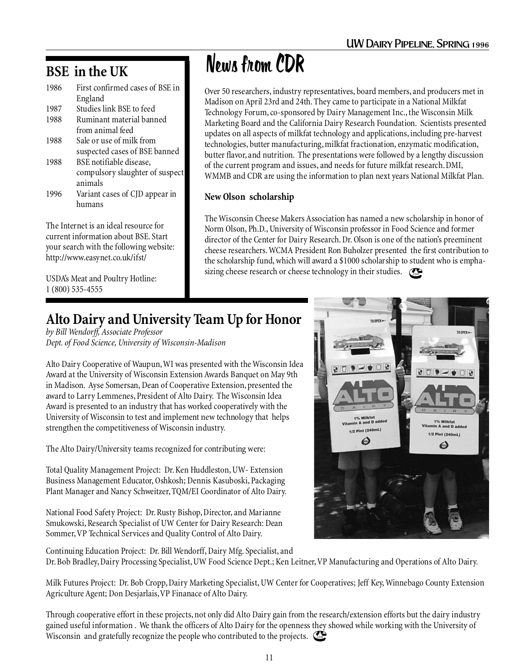#### **BSE in the UK**

| 1986 | First confirmed cases of BSE in |
|------|---------------------------------|
|      | England                         |
| 1987 | Studies link BSE to feed        |
| 1988 | Ruminant material banned        |
|      | from animal feed                |
| 1988 | Sale or use of milk from        |
|      | suspected cases of BSE banned   |
| 1988 | BSE notifiable disease,         |
|      | compulsory slaughter of suspect |
|      | animals                         |
| 1996 | Variant cases of CJD appear in  |
|      | humans                          |
|      |                                 |

The Internet is an ideal resource for current information about BSE. Start your search with the following website: http://www.easynet.co.uk/ifst/

USDA's Meat and Poultry Hotline: 1 (800) 535-4555

## News from CDR

Over 50 researchers, industry representatives, board members, and producers met in Madison on April 23rd and 24th. They came to participate in a National Milkfat Technology Forum, co-sponsored by Dairy Management Inc., the Wisconsin Milk Marketing Board and the California Dairy Research Foundation. Scientists presented updates on all aspects of milkfat technology and applications, including pre-harvest technologies, butter manufacturing, milkfat fractionation, enzymatic modification, butter flavor, and nutrition. The presentations were followed by a lengthy discussion of the current program and issues, and needs for future milkfat research. DMI, WMMB and CDR are using the information to plan next years National Milkfat Plan.

#### **New Olson scholarship**

The Wisconsin Cheese Makers Association has named a new scholarship in honor of Norm Olson, Ph.D., University of Wisconsin professor in Food Science and former director of the Center for Dairy Research. Dr. Olson is one of the nation's preeminent cheese researchers. WCMA President Ron Buholzer presented the first contribution to the scholarship fund, which will award a \$1000 scholarship to student who is emphasizing cheese research or cheese technology in their studies.  $\mathbb{C}$ 

## **Alto Dairy and University Team Up for Honor**

*by Bill Wendorff, Associate Professor Dept. of Food Science, University of Wisconsin-Madison*

Alto Dairy Cooperative of Waupun, WI was presented with the Wisconsin Idea Award at the University of Wisconsin Extension Awards Banquet on May 9th in Madison. Ayse Somersan, Dean of Cooperative Extension, presented the award to Larry Lemmenes, President of Alto Dairy. The Wisconsin Idea Award is presented to an industry that has worked cooperatively with the University of Wisconsin to test and implement new technology that helps strengthen the competitiveness of Wisconsin industry.

The Alto Dairy/University teams recognized for contributing were:

Total Quality Management Project: Dr. Ken Huddleston, UW- Extension Business Management Educator, Oshkosh; Dennis Kasuboski, Packaging Plant Manager and Nancy Schweitzer, TQM/EI Coordinator of Alto Dairy.

National Food Safety Project: Dr. Rusty Bishop, Director, and Marianne Smukowski, Research Specialist of UW Center for Dairy Research: Dean Sommer, VP Technical Services and Quality Control of Alto Dairy.

Continuing Education Project: Dr. Bill Wendorff, Dairy Mfg. Specialist, and Dr. Bob Bradley, Dairy Processing Specialist, UW Food Science Dept.; Ken Leitner, VP Manufacturing and Operations of Alto Dairy.

Milk Futures Project: Dr. Bob Cropp, Dairy Marketing Specialist, UW Center for Cooperatives; Jeff Key, Winnebago County Extension Agriculture Agent; Don Desjarlais, VP Finanace of Alto Dairy.

Through cooperative effort in these projects, not only did Alto Dairy gain from the research/extension efforts but the dairy industry gained useful information . We thank the officers of Alto Dairy for the openness they showed while working with the University of Wisconsin and gratefully recognize the people who contributed to the projects. Com